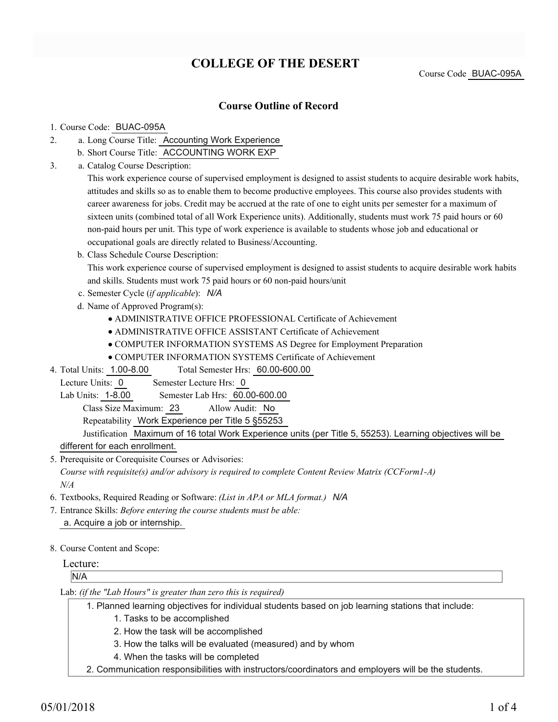# **COLLEGE OF THE DESERT**

Course Code BUAC-095A

### **Course Outline of Record**

#### 1. Course Code: BUAC-095A

- a. Long Course Title: Accounting Work Experience 2.
	- b. Short Course Title: ACCOUNTING WORK EXP
- Catalog Course Description: a. 3.

This work experience course of supervised employment is designed to assist students to acquire desirable work habits, attitudes and skills so as to enable them to become productive employees. This course also provides students with career awareness for jobs. Credit may be accrued at the rate of one to eight units per semester for a maximum of sixteen units (combined total of all Work Experience units). Additionally, students must work 75 paid hours or 60 non-paid hours per unit. This type of work experience is available to students whose job and educational or occupational goals are directly related to Business/Accounting.

b. Class Schedule Course Description:

This work experience course of supervised employment is designed to assist students to acquire desirable work habits and skills. Students must work 75 paid hours or 60 non-paid hours/unit

- c. Semester Cycle (*if applicable*): *N/A*
- d. Name of Approved Program(s):
	- ADMINISTRATIVE OFFICE PROFESSIONAL Certificate of Achievement
	- ADMINISTRATIVE OFFICE ASSISTANT Certificate of Achievement
	- COMPUTER INFORMATION SYSTEMS AS Degree for Employment Preparation
	- COMPUTER INFORMATION SYSTEMS Certificate of Achievement
- Total Semester Hrs: 60.00-600.00 4. Total Units: 1.00-8.00
- Lecture Units: 0 Semester Lecture Hrs: 0

Lab Units: 1-8.00 Semester Lab Hrs: 60.00-600.00

Class Size Maximum: 23 Allow Audit: No

Repeatability Work Experience per Title 5 §55253

Justification Maximum of 16 total Work Experience units (per Title 5, 55253). Learning objectives will be different for each enrollment.

5. Prerequisite or Corequisite Courses or Advisories: *Course with requisite(s) and/or advisory is required to complete Content Review Matrix (CCForm1-A) N/A*

- 6. Textbooks, Required Reading or Software: *(List in APA or MLA format.) N/A*
- Entrance Skills: *Before entering the course students must be able:* 7. a. Acquire a job or internship.
- 8. Course Content and Scope:

### Lecture:

N/A

Lab: *(if the "Lab Hours" is greater than zero this is required)*

Planned learning objectives for individual students based on job learning stations that include: 1.

- 1. Tasks to be accomplished
- 2. How the task will be accomplished
- 3. How the talks will be evaluated (measured) and by whom
- 4. When the tasks will be completed
- 2. Communication responsibilities with instructors/coordinators and employers will be the students.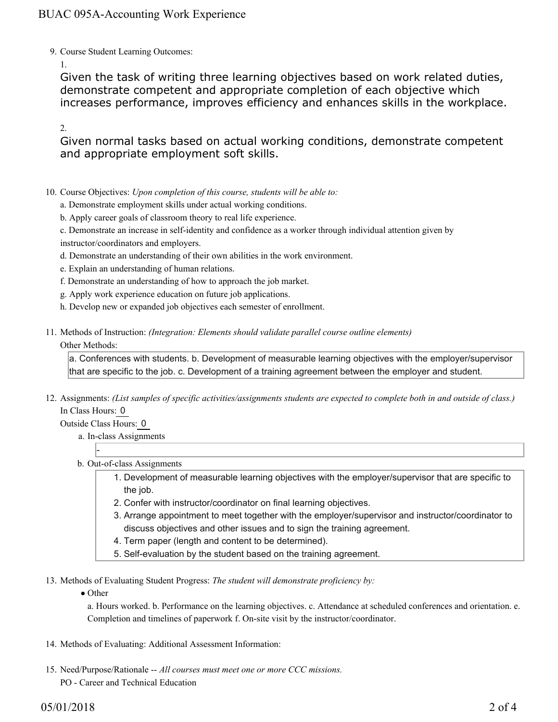### BUAC 095A-Accounting Work Experience

9. Course Student Learning Outcomes:

1.

Given the task of writing three learning objectives based on work related duties, demonstrate competent and appropriate completion of each objective which increases performance, improves efficiency and enhances skills in the workplace.

2.

Given normal tasks based on actual working conditions, demonstrate competent and appropriate employment soft skills.

- 10. Course Objectives: Upon completion of this course, students will be able to:
	- a. Demonstrate employment skills under actual working conditions.
	- b. Apply career goals of classroom theory to real life experience.
	- c. Demonstrate an increase in self-identity and confidence as a worker through individual attention given by instructor/coordinators and employers.
	- d. Demonstrate an understanding of their own abilities in the work environment.
	- e. Explain an understanding of human relations.
	- f. Demonstrate an understanding of how to approach the job market.
	- g. Apply work experience education on future job applications.
	- h. Develop new or expanded job objectives each semester of enrollment.
- Methods of Instruction: *(Integration: Elements should validate parallel course outline elements)* 11. Other Methods:

a. Conferences with students. b. Development of measurable learning objectives with the employer/supervisor that are specific to the job. c. Development of a training agreement between the employer and student.

12. Assignments: (List samples of specific activities/assignments students are expected to complete both in and outside of class.) In Class Hours: 0

Outside Class Hours: 0

-

- a. In-class Assignments
- b. Out-of-class Assignments
	- 1. Development of measurable learning objectives with the employer/supervisor that are specific to the job.
	- 2. Confer with instructor/coordinator on final learning objectives.
	- Arrange appointment to meet together with the employer/supervisor and instructor/coordinator to 3. discuss objectives and other issues and to sign the training agreement.
	- 4. Term paper (length and content to be determined).
	- 5. Self-evaluation by the student based on the training agreement.

13. Methods of Evaluating Student Progress: The student will demonstrate proficiency by:

• Other

a. Hours worked. b. Performance on the learning objectives. c. Attendance at scheduled conferences and orientation. e. Completion and timelines of paperwork f. On-site visit by the instructor/coordinator.

- 14. Methods of Evaluating: Additional Assessment Information:
- 15. Need/Purpose/Rationale -- All courses must meet one or more CCC missions. PO - Career and Technical Education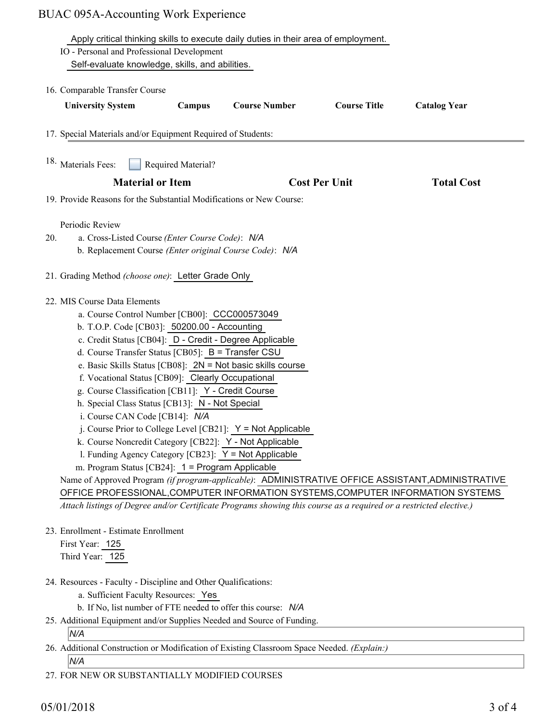# BUAC 095A-Accounting Work Experience

|                                                                                                                    |                    | Apply critical thinking skills to execute daily duties in their area of employment. |                      |                     |
|--------------------------------------------------------------------------------------------------------------------|--------------------|-------------------------------------------------------------------------------------|----------------------|---------------------|
| IO - Personal and Professional Development                                                                         |                    |                                                                                     |                      |                     |
| Self-evaluate knowledge, skills, and abilities.                                                                    |                    |                                                                                     |                      |                     |
|                                                                                                                    |                    |                                                                                     |                      |                     |
| 16. Comparable Transfer Course                                                                                     |                    |                                                                                     |                      |                     |
| <b>University System</b>                                                                                           | Campus             | <b>Course Number</b>                                                                | <b>Course Title</b>  | <b>Catalog Year</b> |
| 17. Special Materials and/or Equipment Required of Students:                                                       |                    |                                                                                     |                      |                     |
| 18. Materials Fees:                                                                                                | Required Material? |                                                                                     |                      |                     |
| <b>Material or Item</b>                                                                                            |                    |                                                                                     | <b>Cost Per Unit</b> | <b>Total Cost</b>   |
| 19. Provide Reasons for the Substantial Modifications or New Course:                                               |                    |                                                                                     |                      |                     |
|                                                                                                                    |                    |                                                                                     |                      |                     |
| Periodic Review                                                                                                    |                    |                                                                                     |                      |                     |
| a. Cross-Listed Course (Enter Course Code): N/A<br>20.                                                             |                    |                                                                                     |                      |                     |
| b. Replacement Course (Enter original Course Code): N/A                                                            |                    |                                                                                     |                      |                     |
| 21. Grading Method (choose one): Letter Grade Only                                                                 |                    |                                                                                     |                      |                     |
|                                                                                                                    |                    |                                                                                     |                      |                     |
| 22. MIS Course Data Elements                                                                                       |                    |                                                                                     |                      |                     |
| a. Course Control Number [CB00]: CCC000573049                                                                      |                    |                                                                                     |                      |                     |
| b. T.O.P. Code [CB03]: 50200.00 - Accounting                                                                       |                    |                                                                                     |                      |                     |
| c. Credit Status [CB04]: D - Credit - Degree Applicable                                                            |                    |                                                                                     |                      |                     |
| d. Course Transfer Status [CB05]: B = Transfer CSU                                                                 |                    |                                                                                     |                      |                     |
| e. Basic Skills Status [CB08]: $2N = Not basic skills course$                                                      |                    |                                                                                     |                      |                     |
| f. Vocational Status [CB09]: Clearly Occupational                                                                  |                    |                                                                                     |                      |                     |
| g. Course Classification [CB11]: Y - Credit Course                                                                 |                    |                                                                                     |                      |                     |
| h. Special Class Status [CB13]: N - Not Special                                                                    |                    |                                                                                     |                      |                     |
| i. Course CAN Code [CB14]: N/A                                                                                     |                    |                                                                                     |                      |                     |
| j. Course Prior to College Level [CB21]: $Y = Not$ Applicable                                                      |                    |                                                                                     |                      |                     |
| k. Course Noncredit Category [CB22]: Y - Not Applicable                                                            |                    |                                                                                     |                      |                     |
| 1. Funding Agency Category [CB23]: $Y = Not$ Applicable                                                            |                    |                                                                                     |                      |                     |
| m. Program Status [CB24]: 1 = Program Applicable                                                                   |                    |                                                                                     |                      |                     |
| Name of Approved Program (if program-applicable): ADMINISTRATIVE OFFICE ASSISTANT, ADMINISTRATIVE                  |                    |                                                                                     |                      |                     |
| OFFICE PROFESSIONAL, COMPUTER INFORMATION SYSTEMS, COMPUTER INFORMATION SYSTEMS                                    |                    |                                                                                     |                      |                     |
| Attach listings of Degree and/or Certificate Programs showing this course as a required or a restricted elective.) |                    |                                                                                     |                      |                     |
|                                                                                                                    |                    |                                                                                     |                      |                     |
| 23. Enrollment - Estimate Enrollment                                                                               |                    |                                                                                     |                      |                     |
| First Year: 125                                                                                                    |                    |                                                                                     |                      |                     |
| Third Year: 125                                                                                                    |                    |                                                                                     |                      |                     |
| 24. Resources - Faculty - Discipline and Other Qualifications:                                                     |                    |                                                                                     |                      |                     |
| a. Sufficient Faculty Resources: Yes                                                                               |                    |                                                                                     |                      |                     |
| b. If No, list number of FTE needed to offer this course: N/A                                                      |                    |                                                                                     |                      |                     |

25. Additional Equipment and/or Supplies Needed and Source of Funding.

### *N/A*

26. Additional Construction or Modification of Existing Classroom Space Needed. (Explain:)

*N/A*

27. FOR NEW OR SUBSTANTIALLY MODIFIED COURSES